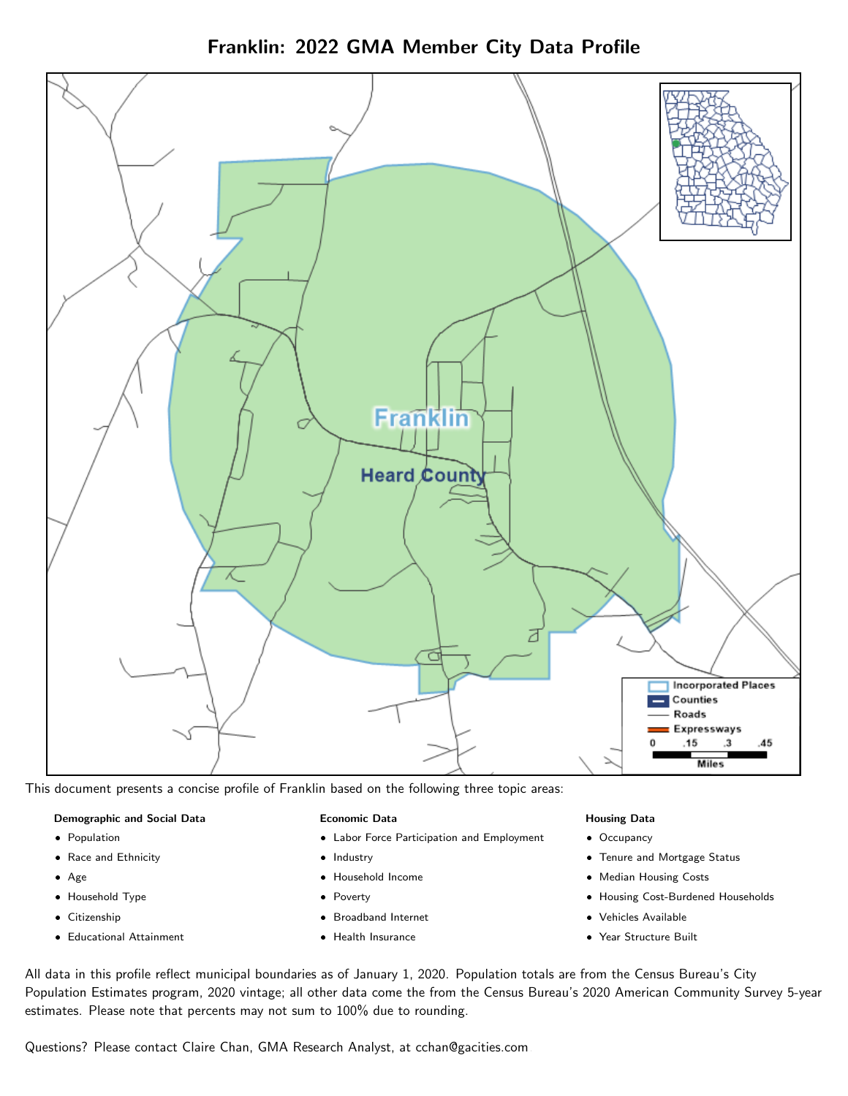Franklin: 2022 GMA Member City Data Profile



This document presents a concise profile of Franklin based on the following three topic areas:

### Demographic and Social Data

- **•** Population
- Race and Ethnicity
- Age
- Household Type
- **Citizenship**
- Educational Attainment

### Economic Data

- Labor Force Participation and Employment
- Industry
- Household Income
- Poverty
- Broadband Internet
- Health Insurance

### Housing Data

- Occupancy
- Tenure and Mortgage Status
- Median Housing Costs
- Housing Cost-Burdened Households
- Vehicles Available
- Year Structure Built

All data in this profile reflect municipal boundaries as of January 1, 2020. Population totals are from the Census Bureau's City Population Estimates program, 2020 vintage; all other data come the from the Census Bureau's 2020 American Community Survey 5-year estimates. Please note that percents may not sum to 100% due to rounding.

Questions? Please contact Claire Chan, GMA Research Analyst, at [cchan@gacities.com.](mailto:cchan@gacities.com)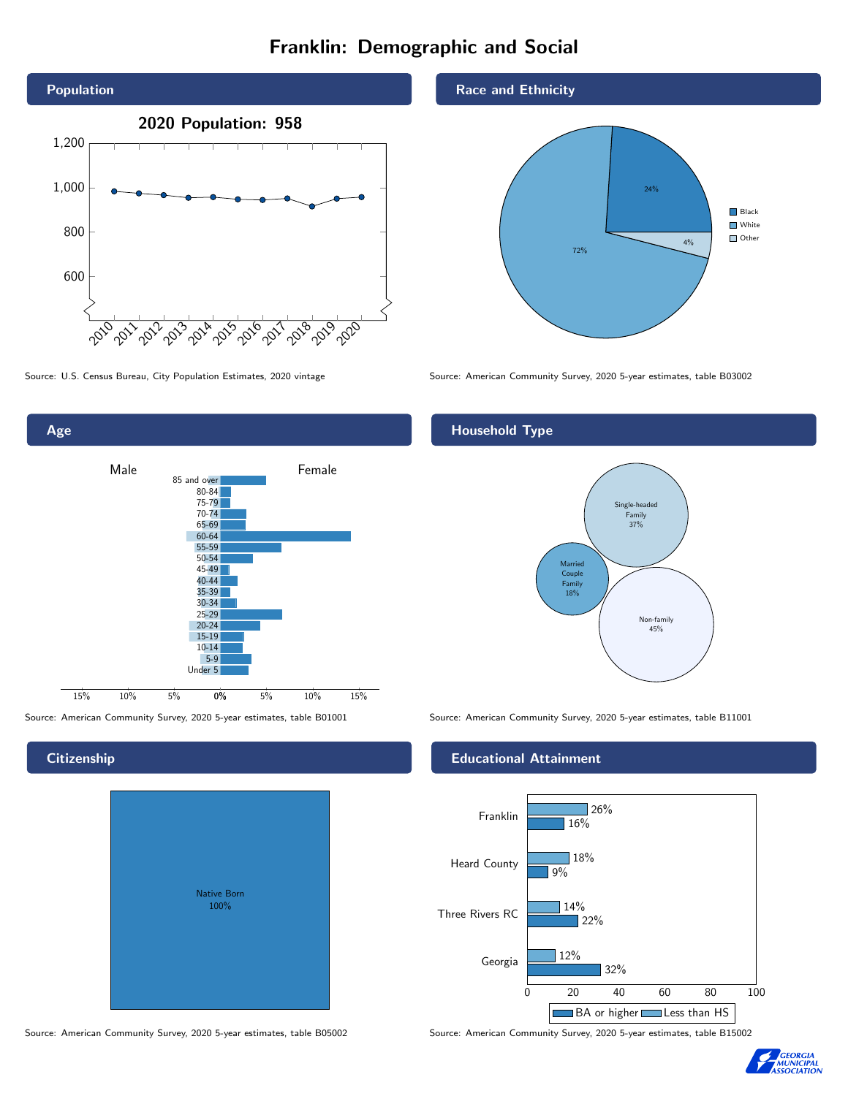# Franklin: Demographic and Social



Age 0% 5% 10% 15% Male <u>Jan Barrel</u> Female 15% 10% 5% 85 and over 80-84 75-79 70-74 65-69 60-64 55-59 50-54 45-49 40-44 35-39 30-34 25-29 20-24 15-19 10-14 5-9 Under 5

# **Citizenship**

| <b>Native Born</b><br>100% |  |
|----------------------------|--|

Race and Ethnicity



Source: U.S. Census Bureau, City Population Estimates, 2020 vintage Source: American Community Survey, 2020 5-year estimates, table B03002

## Household Type



Source: American Community Survey, 2020 5-year estimates, table B01001 Source: American Community Survey, 2020 5-year estimates, table B11001

### Educational Attainment



Source: American Community Survey, 2020 5-year estimates, table B05002 Source: American Community Survey, 2020 5-year estimates, table B15002

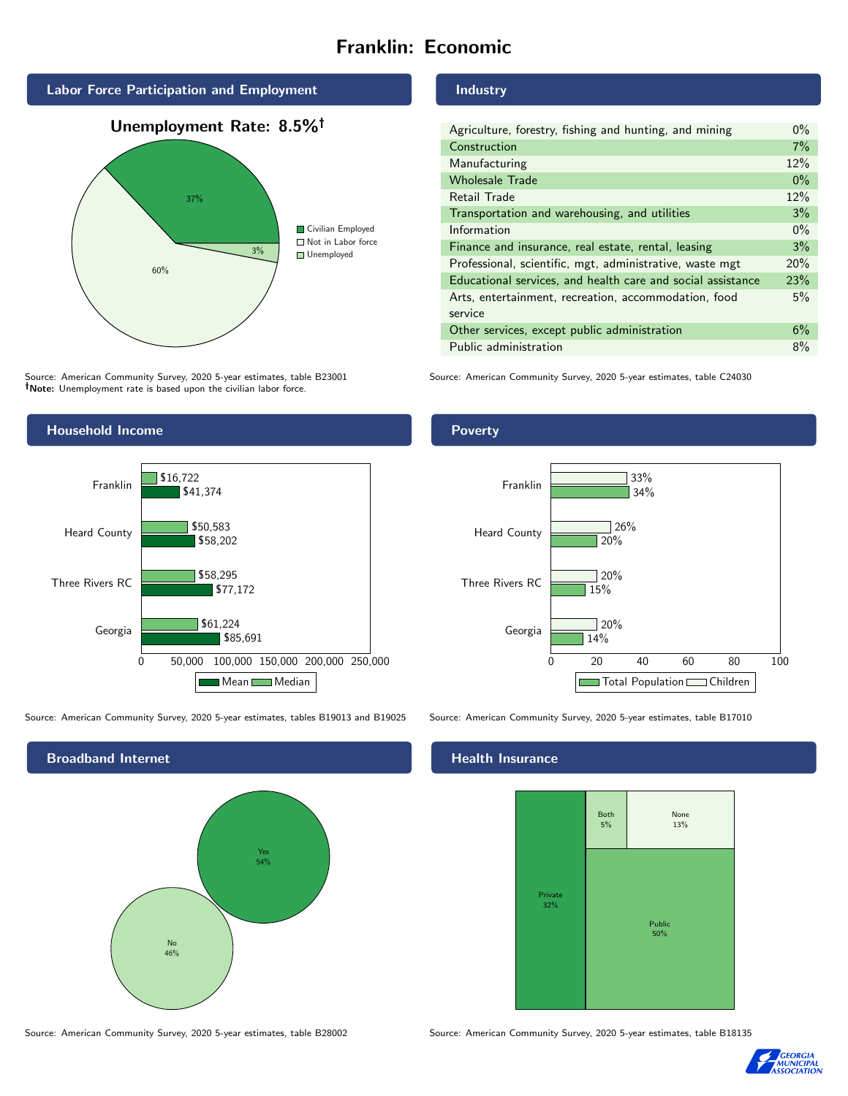# Franklin: Economic



# 60% 3% Civilian Employed ■ Not in Labor force ■ Unemployed

Source: American Community Survey, 2020 5-year estimates, table B23001 Note: Unemployment rate is based upon the civilian labor force.



Source: American Community Survey, 2020 5-year estimates, tables B19013 and B19025 Source: American Community Survey, 2020 5-year estimates, table B17010



Industry

| Agriculture, forestry, fishing and hunting, and mining      | $0\%$ |
|-------------------------------------------------------------|-------|
| Construction                                                | 7%    |
| Manufacturing                                               | 12%   |
| <b>Wholesale Trade</b>                                      | $0\%$ |
| Retail Trade                                                | 12%   |
| Transportation and warehousing, and utilities               |       |
| Information                                                 | $0\%$ |
| Finance and insurance, real estate, rental, leasing         |       |
| Professional, scientific, mgt, administrative, waste mgt    |       |
| Educational services, and health care and social assistance |       |
| Arts, entertainment, recreation, accommodation, food        |       |
| service                                                     |       |
| Other services, except public administration                |       |
| Public administration                                       |       |

Source: American Community Survey, 2020 5-year estimates, table C24030

### Poverty



## **Health Insurance**



Source: American Community Survey, 2020 5-year estimates, table B28002 Source: American Community Survey, 2020 5-year estimates, table B18135